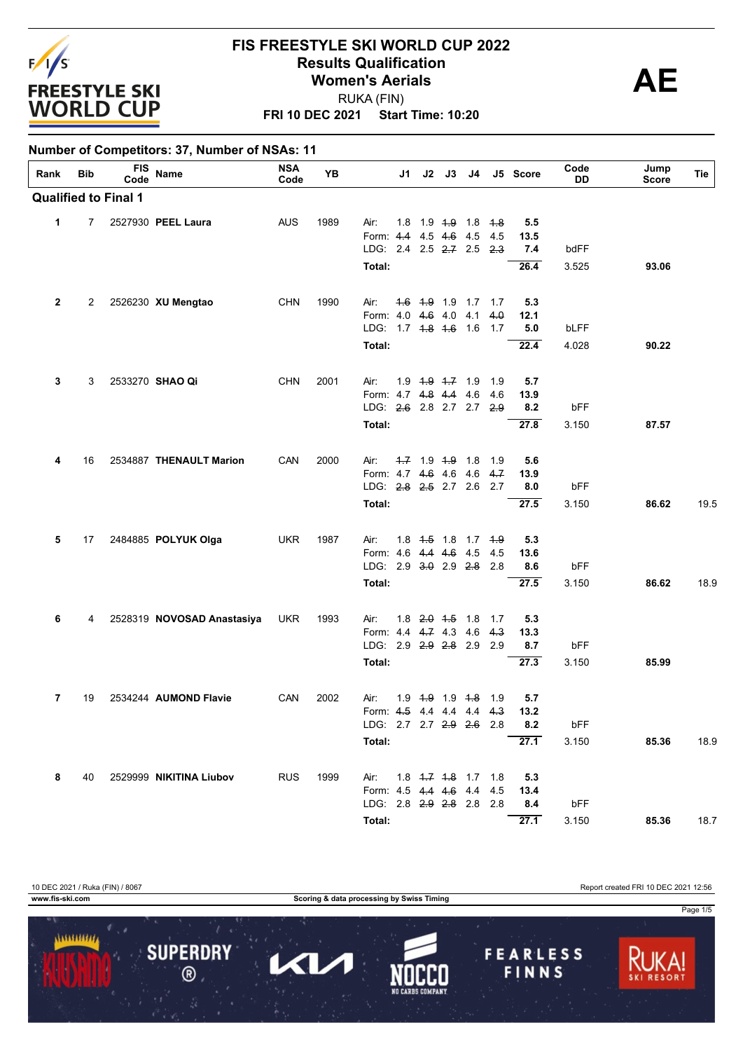

RUKA (FIN)

**FRI 10 DEC 2021 Start Time: 10:20**

| Rank         | Bib | <b>FIS</b>                  | Name                       | <b>NSA</b> | YB   |                                    | J1 I                    | J2 J3                  | J4 |                                           | J5 Score    | Code         | Jump         | Tie  |
|--------------|-----|-----------------------------|----------------------------|------------|------|------------------------------------|-------------------------|------------------------|----|-------------------------------------------|-------------|--------------|--------------|------|
|              |     | Code                        |                            | Code       |      |                                    |                         |                        |    |                                           |             | DD           | <b>Score</b> |      |
|              |     | <b>Qualified to Final 1</b> |                            |            |      |                                    |                         |                        |    |                                           |             |              |              |      |
| 1            | 7   |                             | 2527930 PEEL Laura         | AUS        | 1989 | Air:                               | 1.8                     | 1.9 <del>1.9</del> 1.8 |    | <del>1.8</del>                            | 5.5         |              |              |      |
|              |     |                             |                            |            |      | Form: 4.4 4.5 4.6 4.5              |                         |                        |    | 4.5                                       | 13.5        |              |              |      |
|              |     |                             |                            |            |      | LDG: 2.4 2.5 2.7 2.5 2.3           |                         |                        |    |                                           | 7.4         | bdFF         |              |      |
|              |     |                             |                            |            |      | Total:                             |                         |                        |    |                                           | 26.4        | 3.525        | 93.06        |      |
| $\mathbf{2}$ | 2   |                             | 2526230 XU Mengtao         | <b>CHN</b> | 1990 | Air:                               |                         |                        |    | 1.6 1.9 1.9 1.7 1.7                       | 5.3         |              |              |      |
|              |     |                             |                            |            |      | Form: 4.0 4.6 4.0 4.1              |                         |                        |    | 4.0                                       | 12.1        |              |              |      |
|              |     |                             |                            |            |      | LDG: 1.7 4.8 4.6 1.6               |                         |                        |    | 1.7                                       | 5.0         | bLFF         |              |      |
|              |     |                             |                            |            |      | Total:                             |                         |                        |    |                                           | 22.4        | 4.028        | 90.22        |      |
| 3            | 3   |                             | 2533270 SHAO Qi            | <b>CHN</b> | 2001 | Air:                               | $1.9$ $1.9$ $1.7$ $1.9$ |                        |    | 1.9                                       | 5.7         |              |              |      |
|              |     |                             |                            |            |      | Form: 4.7 4.8 4.4 4.6              |                         |                        |    | 4.6                                       | 13.9        |              |              |      |
|              |     |                             |                            |            |      | LDG: 2.6 2.8 2.7 2.7 2.9           |                         |                        |    |                                           | 8.2         | bFF          |              |      |
|              |     |                             |                            |            |      | Total:                             |                         |                        |    |                                           | 27.8        | 3.150        | 87.57        |      |
| 4            | 16  |                             | 2534887 THENAULT Marion    | CAN        | 2000 | Air:                               | $-1.7$ 1.9 $-1.9$ 1.8   |                        |    | 1.9                                       | 5.6         |              |              |      |
|              |     |                             |                            |            |      | Form: 4.7 4.6 4.6 4.6              |                         |                        |    | 4.7                                       | 13.9        |              |              |      |
|              |     |                             |                            |            |      | LDG: 2.8 2.5 2.7 2.6 2.7           |                         |                        |    |                                           | 8.0         | bFF          |              |      |
|              |     |                             |                            |            |      | Total:                             |                         |                        |    |                                           | 27.5        | 3.150        | 86.62        | 19.5 |
| 5            | 17  |                             | 2484885 POLYUK Olga        | <b>UKR</b> | 1987 | Air:                               |                         |                        |    | 1.8 <del>1.5</del> 1.8 1.7 <del>1.9</del> | 5.3         |              |              |      |
|              |     |                             |                            |            |      | Form: 4.6 4.4 4.6 4.5              |                         |                        |    | 4.5                                       | 13.6        |              |              |      |
|              |     |                             |                            |            |      | LDG: 2.9 3.0 2.9 2.8 2.8<br>Total: |                         |                        |    |                                           | 8.6<br>27.5 | bFF<br>3.150 | 86.62        | 18.9 |
|              |     |                             |                            |            |      |                                    |                         |                        |    |                                           |             |              |              |      |
| 6            | 4   |                             | 2528319 NOVOSAD Anastasiya | <b>UKR</b> | 1993 | Air:                               | 1.8                     | <del>2.0</del> 4.5 1.8 |    | 1.7                                       | 5.3         |              |              |      |
|              |     |                             |                            |            |      | Form: 4.4 4.7 4.3 4.6              |                         |                        |    | 4.3                                       | 13.3        |              |              |      |
|              |     |                             |                            |            |      | LDG: 2.9 2.9 2.8 2.9               |                         |                        |    | 2.9                                       | 8.7         | bFF          |              |      |
|              |     |                             |                            |            |      | Total:                             |                         |                        |    |                                           | 27.3        | 3.150        | 85.99        |      |
| 7            | 19  |                             | 2534244 AUMOND Flavie      | CAN        | 2002 | Air:                               |                         |                        |    | 1.9 <del>1.9</del> 1.9 <del>1.8</del> 1.9 | 5.7         |              |              |      |
|              |     |                             |                            |            |      | Form: 4.5 4.4 4.4 4.4 4.3          |                         |                        |    |                                           | 13.2        |              |              |      |
|              |     |                             |                            |            |      | LDG: 2.7 2.7 2.9 2.6 2.8           |                         |                        |    |                                           | 8.2         | bFF          |              |      |
|              |     |                             |                            |            |      | Total:                             |                         |                        |    |                                           | 27.1        | 3.150        | 85.36        | 18.9 |
| 8            | 40  |                             | 2529999 NIKITINA Liubov    | <b>RUS</b> | 1999 | Air: 1.8 4.7 4.8 1.7 1.8           |                         |                        |    |                                           | 5.3         |              |              |      |
|              |     |                             |                            |            |      | Form: 4.5 4.4 4.6 4.4 4.5          |                         |                        |    |                                           | 13.4        |              |              |      |
|              |     |                             |                            |            |      | LDG: 2.8 2.9 2.8 2.8 2.8           |                         |                        |    |                                           | 8.4         | bFF          |              |      |
|              |     |                             |                            |            |      | Total:                             |                         |                        |    |                                           | 27.1        | 3.150        | 85.36        | 18.7 |

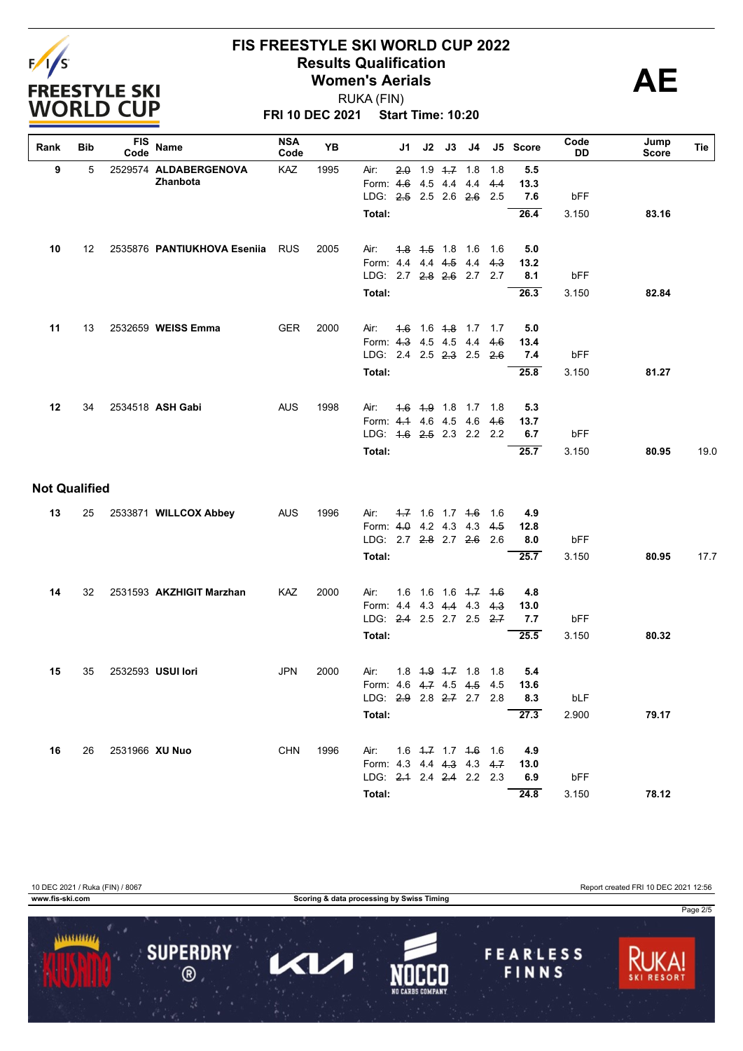

RUKA (FIN)

**FRI 10 DEC 2021 Start Time: 10:20**

| Rank                 | Bib | <b>FIS</b><br>Code | Name                        | <b>NSA</b><br>Code | YB   |                           | J1 | J2                  | J3 | J4                      |       | J5 Score | Code<br>DD | Jump<br>Score | Tie  |
|----------------------|-----|--------------------|-----------------------------|--------------------|------|---------------------------|----|---------------------|----|-------------------------|-------|----------|------------|---------------|------|
| 9                    | 5   |                    | 2529574 ALDABERGENOVA       | KAZ                | 1995 | Air:                      |    | $2.0$ 1.9 $4.7$ 1.8 |    |                         | 1.8   | 5.5      |            |               |      |
|                      |     |                    | Zhanbota                    |                    |      | Form: 4.6 4.5 4.4 4.4     |    |                     |    |                         | 4.4   | 13.3     |            |               |      |
|                      |     |                    |                             |                    |      | LDG: 2.5 2.5 2.6 2.6 2.5  |    |                     |    |                         |       | 7.6      | bFF        |               |      |
|                      |     |                    |                             |                    |      | Total:                    |    |                     |    |                         |       | 26.4     | 3.150      | 83.16         |      |
| 10                   | 12  |                    | 2535876 PANTIUKHOVA Eseniia | <b>RUS</b>         | 2005 | Air:                      |    |                     |    | 4.8 4.5 1.8 1.6 1.6     |       | 5.0      |            |               |      |
|                      |     |                    |                             |                    |      | Form: 4.4 4.4 4.5 4.4 4.3 |    |                     |    |                         |       | 13.2     |            |               |      |
|                      |     |                    |                             |                    |      | LDG: 2.7 2.8 2.6 2.7 2.7  |    |                     |    |                         |       | 8.1      | bFF        |               |      |
|                      |     |                    |                             |                    |      | Total:                    |    |                     |    |                         |       | 26.3     | 3.150      | 82.84         |      |
| 11                   | 13  |                    | 2532659 WEISS Emma          | <b>GER</b>         | 2000 | Air:                      |    |                     |    | $1.6$ 1.6 $1.8$ 1.7 1.7 |       | 5.0      |            |               |      |
|                      |     |                    |                             |                    |      | Form: 4.3 4.5 4.5 4.4     |    |                     |    |                         | 4.6   | 13.4     |            |               |      |
|                      |     |                    |                             |                    |      | LDG: 2.4 2.5 2.3 2.5 2.6  |    |                     |    |                         |       | 7.4      | bFF        |               |      |
|                      |     |                    |                             |                    |      | Total:                    |    |                     |    |                         |       | 25.8     | 3.150      | 81.27         |      |
| 12                   | 34  |                    | 2534518 ASH Gabi            | <b>AUS</b>         | 1998 | Air:                      |    |                     |    | 4.6 4.9 1.8 1.7 1.8     |       | 5.3      |            |               |      |
|                      |     |                    |                             |                    |      | Form: 4.1 4.6 4.5 4.6     |    |                     |    |                         | 4.6   | 13.7     |            |               |      |
|                      |     |                    |                             |                    |      | LDG: 4.6 2.5 2.3 2.2 2.2  |    |                     |    |                         |       | 6.7      | bFF        |               |      |
|                      |     |                    |                             |                    |      | Total:                    |    |                     |    |                         |       | 25.7     | 3.150      | 80.95         | 19.0 |
| <b>Not Qualified</b> |     |                    |                             |                    |      |                           |    |                     |    |                         |       |          |            |               |      |
| 13                   | 25  |                    | 2533871 WILLCOX Abbey       | <b>AUS</b>         | 1996 | Air:                      |    | $-1.7$ 1.6 1.7 $+6$ |    |                         | 1.6   | 4.9      |            |               |      |
|                      |     |                    |                             |                    |      | Form: 4.0 4.2 4.3 4.3     |    |                     |    |                         | 4.5   | 12.8     |            |               |      |
|                      |     |                    |                             |                    |      | LDG: 2.7 2.8 2.7 2.6      |    |                     |    |                         | 2.6   | 8.0      | bFF        |               |      |
|                      |     |                    |                             |                    |      | Total:                    |    |                     |    |                         |       | 25.7     | 3.150      | 80.95         | 17.7 |
| 14                   | 32  |                    | 2531593 AKZHIGIT Marzhan    | <b>KAZ</b>         | 2000 | Air:                      |    |                     |    | 1.6 1.6 1.6 4.7 4.6     |       | 4.8      |            |               |      |
|                      |     |                    |                             |                    |      | Form: 4.4 4.3 4.4 4.3     |    |                     |    |                         | 4.3   | 13.0     |            |               |      |
|                      |     |                    |                             |                    |      | LDG: 2.4 2.5 2.7 2.5 2.7  |    |                     |    |                         |       | 7.7      | bFF        |               |      |
|                      |     |                    |                             |                    |      | Total:                    |    |                     |    |                         |       | 25.5     | 3.150      | 80.32         |      |
| 15                   | 35  |                    | 2532593 USUI lori           | <b>JPN</b>         | 2000 | Air:                      |    | 1.8 $1.9$ $1.7$ 1.8 |    |                         | - 1.8 | 5.4      |            |               |      |
|                      |     |                    |                             |                    |      | Form: 4.6 4.7 4.5 4.5 4.5 |    |                     |    |                         |       | 13.6     |            |               |      |
|                      |     |                    |                             |                    |      | LDG: 2.9 2.8 2.7 2.7 2.8  |    |                     |    |                         |       | 8.3      | bLF        |               |      |
|                      |     |                    |                             |                    |      | Total:                    |    |                     |    |                         |       | 27.3     | 2.900      | 79.17         |      |
| 16                   | 26  | 2531966 XU Nuo     |                             | <b>CHN</b>         | 1996 | Air: 1.6 4.7 1.7 4.6 1.6  |    |                     |    |                         |       | 4.9      |            |               |      |
|                      |     |                    |                             |                    |      | Form: 4.3 4.4 4.3 4.3 4.7 |    |                     |    |                         |       | 13.0     |            |               |      |
|                      |     |                    |                             |                    |      | LDG: 2.1 2.4 2.4 2.2 2.3  |    |                     |    |                         |       | 6.9      | bFF        |               |      |
|                      |     |                    |                             |                    |      | Total:                    |    |                     |    |                         |       | 24.8     | 3.150      | 78.12         |      |

10 DEC 2021 / Ruka (FIN) / 8067 Report created FRI 10 DEC 2021 12:56

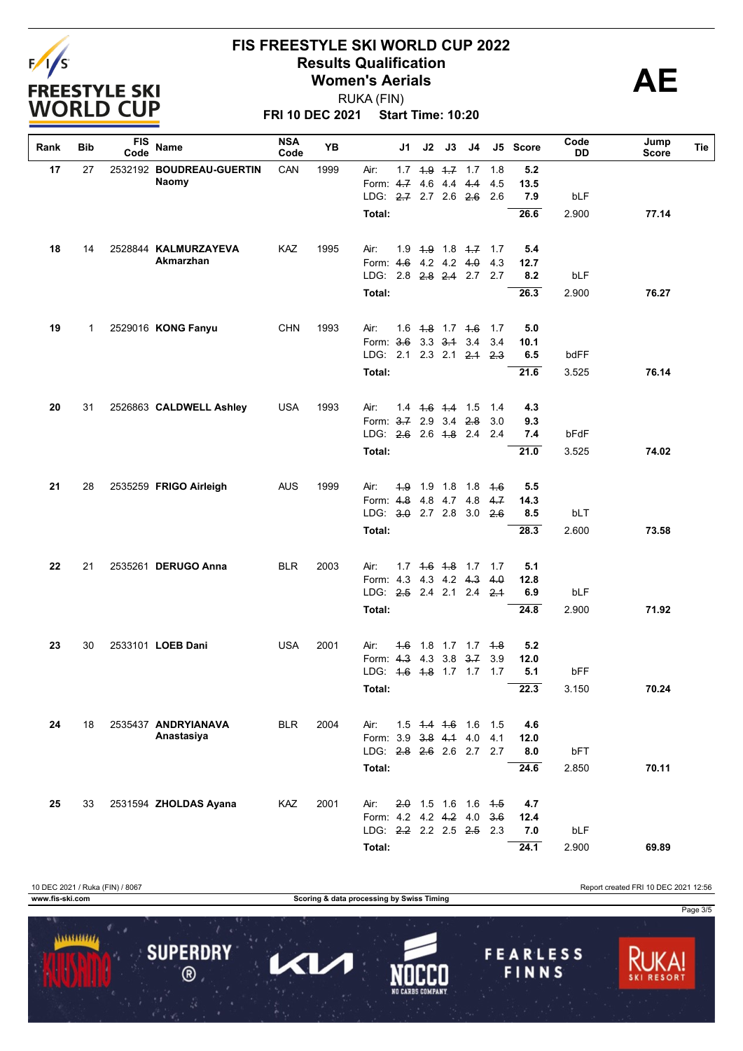

**FRI 10 DEC 2021 Start Time: 10:20** RUKA (FIN)

| Rank | Bib          | FIS<br>Code | Name                     | <b>NSA</b><br>Code | YB                    |                                 | J2<br>J1    | J3                            | J4  |     | J5 Score | Code<br>DD | Jump<br><b>Score</b> | Tie |
|------|--------------|-------------|--------------------------|--------------------|-----------------------|---------------------------------|-------------|-------------------------------|-----|-----|----------|------------|----------------------|-----|
| 17   | 27           |             | 2532192 BOUDREAU-GUERTIN | CAN                | 1999                  | Air:                            |             | $1.7$ $1.9$ $1.7$ $1.7$       |     | 1.8 | 5.2      |            |                      |     |
|      |              |             | Naomy                    |                    |                       | Form: 4.7                       |             | 4.6 4.4 4.4                   |     | 4.5 | 13.5     |            |                      |     |
|      |              |             |                          |                    |                       | LDG: 2.7 2.7 2.6 2.6            |             |                               |     | 2.6 | 7.9      | bLF        |                      |     |
|      |              |             |                          |                    |                       | Total:                          |             |                               |     |     | 26.6     | 2.900      | 77.14                |     |
| 18   | 14           |             | 2528844 KALMURZAYEVA     | KAZ                | 1995                  | Air:                            |             | $1.9$ $1.9$ $1.8$ $1.7$ $1.7$ |     |     | 5.4      |            |                      |     |
|      |              |             | Akmarzhan                |                    |                       | Form: 4.6 4.2 4.2 4.0           |             |                               |     | 4.3 | 12.7     |            |                      |     |
|      |              |             |                          |                    |                       | LDG: 2.8 <del>2.8</del> 2.4 2.7 |             |                               |     | 2.7 | 8.2      | bLF        |                      |     |
|      |              |             |                          |                    |                       | Total:                          |             |                               |     |     | 26.3     | 2.900      | 76.27                |     |
| 19   | $\mathbf{1}$ |             | 2529016 KONG Fanyu       | <b>CHN</b>         | 1993                  | Air:                            |             | $1.6$ $1.8$ $1.7$ $1.6$       |     | 1.7 | 5.0      |            |                      |     |
|      |              |             |                          |                    |                       | Form: 3.6 3.3 3.1 3.4           |             |                               |     | 3.4 | 10.1     |            |                      |     |
|      |              |             |                          |                    |                       | LDG: 2.1 2.3 2.1 2.4 2.3        |             |                               |     |     | 6.5      | bdFF       |                      |     |
|      |              |             |                          |                    |                       | <b>Total:</b>                   |             |                               |     |     | 21.6     | 3.525      | 76.14                |     |
| 20   | 31           |             | 2526863 CALDWELL Ashley  | <b>USA</b>         | 1993                  | Air:                            |             | $1.4$ $1.6$ $1.4$ $1.5$       |     | 1.4 | 4.3      |            |                      |     |
|      |              |             |                          |                    | Form: 3.7 2.9 3.4 2.8 |                                 |             |                               | 3.0 | 9.3 |          |            |                      |     |
|      |              |             |                          |                    | LDG: 2.6 2.6 1.8 2.4  |                                 |             |                               | 2.4 | 7.4 | bFdF     |            |                      |     |
|      |              |             |                          |                    |                       | Total:                          |             |                               |     |     | 21.0     | 3.525      | 74.02                |     |
| 21   | 28           |             | 2535259 FRIGO Airleigh   | <b>AUS</b>         | 1999                  | Air:                            |             | 4.9 1.9 1.8 1.8 4.6           |     |     | 5.5      |            |                      |     |
|      |              |             |                          |                    |                       | Form: 4.8                       |             | 4.8 4.7 4.8                   |     | 4.7 | 14.3     |            |                      |     |
|      |              |             |                          |                    |                       | LDG: 3.0 2.7 2.8 3.0 2.6        |             |                               |     |     | 8.5      | bLT        |                      |     |
|      |              |             |                          |                    |                       | <b>Total:</b>                   |             |                               |     |     | 28.3     | 2.600      | 73.58                |     |
| 22   | 21           |             | 2535261 DERUGO Anna      | <b>BLR</b>         | 2003                  | Air:                            |             | 1.7 4.6 4.8 1.7 1.7           |     |     | 5.1      |            |                      |     |
|      |              |             |                          |                    |                       | Form: 4.3 4.3 4.2 4.3           |             |                               |     | 4.0 | 12.8     |            |                      |     |
|      |              |             |                          |                    |                       | LDG: 2.5 2.4 2.1 2.4 2.1        |             |                               |     |     | 6.9      | bLF        |                      |     |
|      |              |             |                          |                    |                       | Total:                          |             |                               |     |     | 24.8     | 2.900      | 71.92                |     |
| 23   | 30           |             | 2533101 LOEB Dani        | <b>USA</b>         | 2001                  | Air:                            | <u> 4.6</u> | 1.8 1.7 1.7                   |     | 4.8 | 5.2      |            |                      |     |
|      |              |             |                          |                    |                       | Form: 4.3 4.3 3.8 3.7           |             |                               |     | 3.9 | 12.0     |            |                      |     |
|      |              |             |                          |                    |                       | LDG: 4.6 4.8 1.7 1.7 1.7        |             |                               |     |     | 5.1      | bFF        |                      |     |
|      |              |             |                          |                    |                       | Total:                          |             |                               |     |     | 22.3     | 3.150      | 70.24                |     |
| 24   | 18           |             | 2535437 ANDRYIANAVA      | <b>BLR</b>         | 2004                  | Air:                            |             | 1.5 4.4 4.6 1.6 1.5           |     |     | 4.6      |            |                      |     |
|      |              |             | Anastasiya               |                    |                       | Form: 3.9 3.8 4.1 4.0 4.1       |             |                               |     |     | 12.0     |            |                      |     |
|      |              |             |                          |                    |                       | LDG: 2.8 2.6 2.6 2.7 2.7        |             |                               |     |     | 8.0      | bFT        |                      |     |
|      |              |             |                          |                    |                       | Total:                          |             |                               |     |     | 24.6     | 2.850      | 70.11                |     |
| 25   | 33           |             | 2531594 ZHOLDAS Ayana    | KAZ                | 2001                  | Air:                            |             | $2.0$ 1.5 1.6 1.6 4.5         |     |     | 4.7      |            |                      |     |
|      |              |             |                          |                    |                       | Form: 4.2 4.2 4.2 4.0 3.6       |             |                               |     |     | 12.4     |            |                      |     |
|      |              |             |                          |                    |                       | LDG: 2.2 2.2 2.5 2.5 2.3        |             |                               |     |     | 7.0      | bLF        |                      |     |
|      |              |             |                          |                    |                       | Total:                          |             |                               |     |     | 24.1     | 2.900      | 69.89                |     |

10 DEC 2021 / Ruka (FIN) / 8067 Report created FRI 10 DEC 2021 12:56 **www.fis-ski.com Scoring & data processing by Swiss Timing** Page 3/5  $11111111111$ **SUPERDRY FEARLESS** 7  $\blacktriangleleft$  $\circledR$ FINNS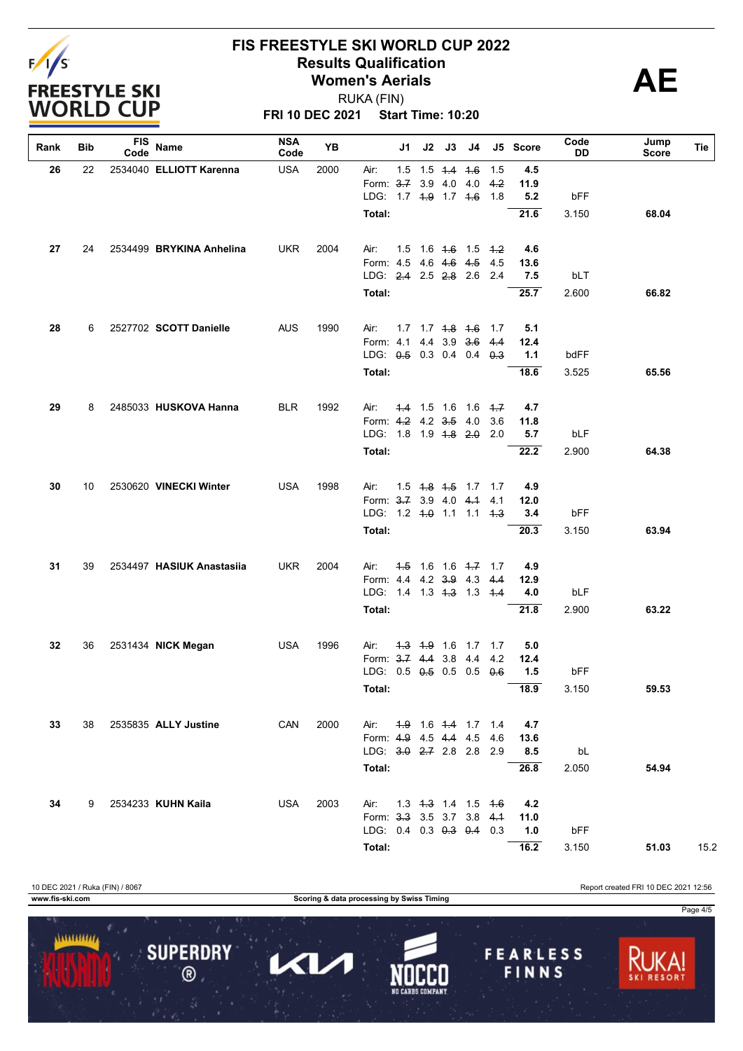

### **FIS FREESTYLE SKI WORLD CUP 2022 Results Qualification**<br> **AE** Women's Aerials **Women's Aerials**

**FRI 10 DEC 2021 Start Time: 10:20** RUKA (FIN)

**Rank Bib FIS Code Name NSA Code YB J1 J2 J3 J4 J5 Score Code DD Tie Jump Score Total: 21.6** 3.150 **68.04** LDG: 1.7 1.9 1.7 1.6 1.8 **5.2** bFF Form: 3.7 3.9 4.0 4.0 4.2 **11.9 26** 22 2534040 **ELLIOTT Karenna** USA 2000 Air: 1.5 1.5 1.4 1.6 1.5 **4.5 Total: 25.7** 2.600 **66.82** LDG: 2.4 2.5 2.8 2.6 2.4 **7.5** bLT Form: 4.5 4.6 4.6 4.5 4.5 **13.6 27** 24 2534499 **BRYKINA Anhelina** UKR 2004 Air: 1.5 1.6 1.6 1.5 1.2 **4.6 Total: 18.6** 3.525 **65.56** LDG: 0.5 0.3 0.4 0.4 0.3 **1.1** bdFF Form: 4.1 4.4 3.9 3.6 4.4 **12.4 28** 6 2527702 **SCOTT Danielle** AUS 1990 Air: 1.7 1.7 1.8 1.6 1.7 **5.1 Total: 22.2** 2.900 **64.38** LDG: 1.8 1.9 1.8 2.0 2.0 **5.7** bLF Form: 4.2 4.2 3.5 4.0 3.6 **11.8 29** 8 2485033 **HUSKOVA Hanna** BLR 1992 Air: 1.4 1.5 1.6 1.6 1.7 **4.7 Total: 20.3** 3.150 **63.94** LDG: 1.2 1.0 1.1 1.1 1.3 **3.4** bFF Form: 3.7 3.9 4.0 4.1 4.1 **12.0 30** 10 2530620 **VINECKI Winter** USA 1998 Air: 1.5 1.8 1.5 1.7 1.7 **4.9 Total: 21.8** 2.900 **63.22** LDG: 1.4 1.3 1.3 1.3 1.4 **4.0** bLF Form: 4.4 4.2 3.9 4.3 4.4 **12.9 31** 39 2534497 **HASIUK Anastasiia** UKR 2004 Air: 1.5 1.6 1.6 1.7 1.7 **4.9 Total: 18.9** 3.150 **59.53** LDG: 0.5 0.5 0.5 0.5 0.6 **1.5** bFF Form: 3.7 4.4 3.8 4.4 4.2 **12.4 32** 36 2531434 **NICK Megan** USA 1996 Air: 1.3 1.9 1.6 1.7 1.7 **5.0 Total: 26.8** 2.050 **54.94** LDG: 3.0 2.7 2.8 2.8 2.9 **8.5** bL Form: 4.9 4.5 4.4 4.5 4.6 **13.6 33** 38 2535835 **ALLY Justine** CAN 2000 Air: 1.9 1.6 1.4 1.7 1.4 **4.7 Total: 16.2** 3.150 **51.03** 15.2 LDG: 0.4 0.3 0.3 0.4 0.3 **1.0** bFF Form: 3.3 3.5 3.7 3.8 4.1 **11.0 34** 9 2534233 **KUHN Kaila** USA 2003 Air: 1.3 1.3 1.4 1.5 1.6 **4.2**